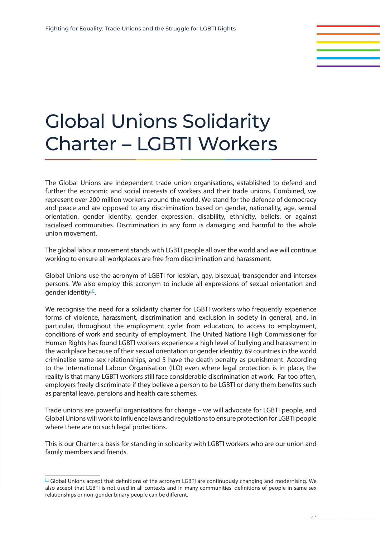# Global Unions Solidarity Charter – LGBTI Workers

The Global Unions are independent trade union organisations, established to defend and further the economic and social interests of workers and their trade unions. Combined, we represent over 200 million workers around the world. We stand for the defence of democracy and peace and are opposed to any discrimination based on gender, nationality, age, sexual orientation, gender identity, gender expression, disability, ethnicity, beliefs, or against racialised communities. Discrimination in any form is damaging and harmful to the whole union movement.

The global labour movement stands with LGBTI people all over the world and we will continue working to ensure all workplaces are free from discrimination and harassment.

Global Unions use the acronym of LGBTI for lesbian, gay, bisexual, transgender and intersex persons. We also employ this acronym to include all expressions of sexual orientation and gender identity<sup>[1]</sup>.

We recognise the need for a solidarity charter for LGBTI workers who frequently experience forms of violence, harassment, discrimination and exclusion in society in general, and, in particular, throughout the employment cycle: from education, to access to employment, conditions of work and security of employment. The United Nations High Commissioner for Human Rights has found LGBTI workers experience a high level of bullying and harassment in the workplace because of their sexual orientation or gender identity. 69 countries in the world criminalise same-sex relationships, and 5 have the death penalty as punishment. According to the International Labour Organisation (ILO) even where legal protection is in place, the reality is that many LGBTI workers still face considerable discrimination at work. Far too often, employers freely discriminate if they believe a person to be LGBTI or deny them benefits such as parental leave, pensions and health care schemes.

Trade unions are powerful organisations for change – we will advocate for LGBTI people, and Global Unions will work to influence laws and regulations to ensure protection for LGBTI people where there are no such legal protections.

This is our Charter: a basis for standing in solidarity with LGBTI workers who are our union and family members and friends.

 $[1]$  Global Unions accept that definitions of the acronym LGBTI are continuously changing and modernising. We also accept that LGBTI is not used in all contexts and in many communities' definitions of people in same sex relationships or non-gender binary people can be different.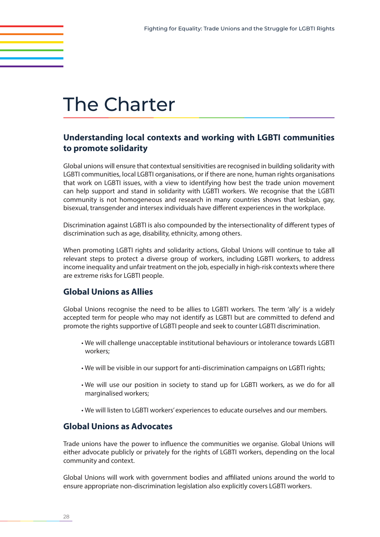## The Charter

### **Understanding local contexts and working with LGBTI communities to promote solidarity**

Global unions will ensure that contextual sensitivities are recognised in building solidarity with LGBTI communities, local LGBTI organisations, or if there are none, human rights organisations that work on LGBTI issues, with a view to identifying how best the trade union movement can help support and stand in solidarity with LGBTI workers. We recognise that the LGBTI community is not homogeneous and research in many countries shows that lesbian, gay, bisexual, transgender and intersex individuals have different experiences in the workplace.

Discrimination against LGBTI is also compounded by the intersectionality of different types of discrimination such as age, disability, ethnicity, among others.

When promoting LGBTI rights and solidarity actions, Global Unions will continue to take all relevant steps to protect a diverse group of workers, including LGBTI workers, to address income inequality and unfair treatment on the job, especially in high-risk contexts where there are extreme risks for LGBTI people.

#### **Global Unions as Allies**

Global Unions recognise the need to be allies to LGBTI workers. The term 'ally' is a widely accepted term for people who may not identify as LGBTI but are committed to defend and promote the rights supportive of LGBTI people and seek to counter LGBTI discrimination.

- We will challenge unacceptable institutional behaviours or intolerance towards LGBTI workers;
- We will be visible in our support for anti-discrimination campaigns on LGBTI rights;
- We will use our position in society to stand up for LGBTI workers, as we do for all marginalised workers;
- We will listen to LGBTI workers' experiences to educate ourselves and our members.

#### **Global Unions as Advocates**

Trade unions have the power to influence the communities we organise. Global Unions will either advocate publicly or privately for the rights of LGBTI workers, depending on the local community and context.

Global Unions will work with government bodies and affiliated unions around the world to ensure appropriate non-discrimination legislation also explicitly covers LGBTI workers.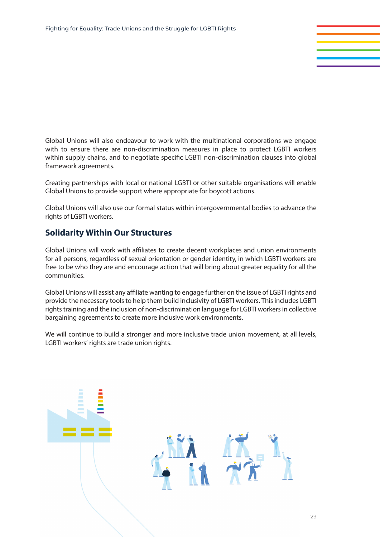Global Unions will also endeavour to work with the multinational corporations we engage with to ensure there are non-discrimination measures in place to protect LGBTI workers within supply chains, and to negotiate specific LGBTI non-discrimination clauses into global framework agreements.

Creating partnerships with local or national LGBTI or other suitable organisations will enable Global Unions to provide support where appropriate for boycott actions.

Global Unions will also use our formal status within intergovernmental bodies to advance the rights of LGBTI workers.

#### **Solidarity Within Our Structures**

Global Unions will work with affiliates to create decent workplaces and union environments for all persons, regardless of sexual orientation or gender identity, in which LGBTI workers are free to be who they are and encourage action that will bring about greater equality for all the communities.

Global Unions will assist any affiliate wanting to engage further on the issue of LGBTI rights and provide the necessary tools to help them build inclusivity of LGBTI workers. This includes LGBTI rights training and the inclusion of non-discrimination language for LGBTI workers in collective bargaining agreements to create more inclusive work environments.

We will continue to build a stronger and more inclusive trade union movement, at all levels, LGBTI workers' rights are trade union rights.